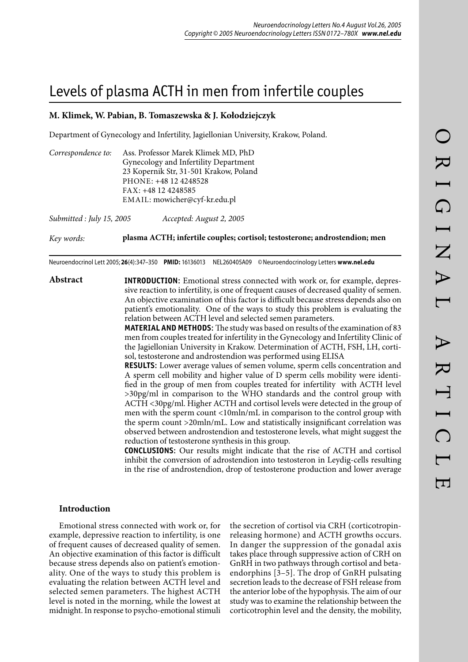# Levels of plasma ACTH in men from infertile couples

## **M. Klimek, W. Pabian, B. Tomaszewska & J. Kołodziejczyk**

Department of Gynecology and Infertility, Jagiellonian University, Krakow, Poland.

| Correspondence to: | Ass. Professor Marek Klimek MD, PhD    |
|--------------------|----------------------------------------|
|                    | Gynecology and Infertility Department  |
|                    | 23 Kopernik Str, 31-501 Krakow, Poland |
|                    | PHONE: +48 12 4248528                  |
|                    | FAX: +48 12 4248585                    |
|                    | EMAIL: mowicher@cyf-kr.edu.pl          |
|                    |                                        |

*Submitted : July 15, 2005 Accepted: August 2, 2005*

*Key words:* **plasma ACTH; infertile couples; cortisol; testosterone; androstendion; men** 

Neuroendocrinol Lett 2005; **26**(4):347–350 **PMID:** 16136013 NEL260405A09 © Neuroendocrinology Letters **www.nel.edu**

**Abstract INTRODUCTION**: Emotional stress connected with work or, for example, depressive reaction to infertility, is one of frequent causes of decreased quality of semen. An objective examination of this factor is difficult because stress depends also on patient's emotionality. One of the ways to study this problem is evaluating the relation between ACTH level and selected semen parameters.

> **MATERIAL AND METHODS**: The study was based on results of the examination of 83 men from couples treated for infertility in the Gynecology and Infertility Clinic of the Jagiellonian University in Krakow. Determination of ACTH, FSH, LH, cortisol, testosterone and androstendion was performed using ELISA

> **RESULTS**: Lower average values of semen volume, sperm cells concentration and A sperm cell mobility and higher value of D sperm cells mobility were identified in the group of men from couples treated for infertility with ACTH level >30pg/ml in comparison to the WHO standards and the control group with ACTH <30pg/ml. Higher ACTH and cortisol levels were detected in the group of men with the sperm count <10mln/mL in comparison to the control group with the sperm count >20mln/mL. Low and statistically insignificant correlation was observed between androstendion and testosterone levels, what might suggest the reduction of testosterone synthesis in this group.

> **CONCLUSIONS**: Our results might indicate that the rise of ACTH and cortisol inhibit the conversion of adrostendion into testosteron in Leydig-cells resulting in the rise of androstendion, drop of testosterone production and lower average

## **Introduction**

Emotional stress connected with work or, for example, depressive reaction to infertility, is one of frequent causes of decreased quality of semen. An objective examination of this factor is difficult because stress depends also on patient's emotionality. One of the ways to study this problem is evaluating the relation between ACTH level and selected semen parameters. The highest ACTH level is noted in the morning, while the lowest at midnight. In response to psycho-emotional stimuli

the secretion of cortisol via CRH (corticotropinreleasing hormone) and ACTH growths occurs. In danger the suppression of the gonadal axis takes place through suppressive action of CRH on GnRH in two pathways through cortisol and betaendorphins [3–5]. The drop of GnRH pulsating secretion leads to the decrease of FSH release from the anterior lobe of the hypophysis. The aim of our study was to examine the relationship between the corticotrophin level and the density, the mobility,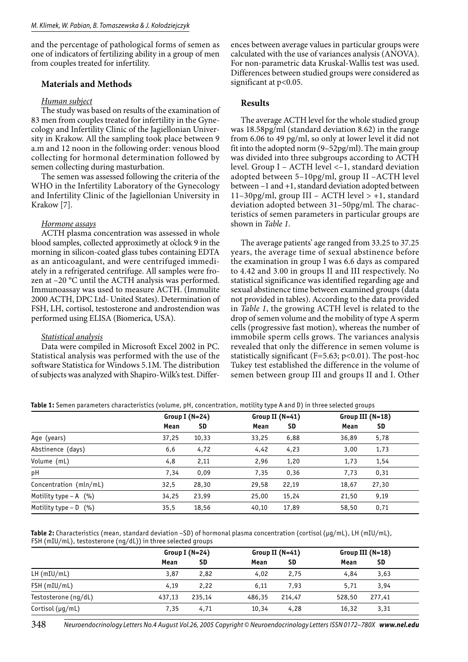and the percentage of pathological forms of semen as one of indicators of fertilizing ability in a group of men from couples treated for infertility.

## **Materials and Methods**

#### *Human subject*

The study was based on results of the examination of 83 men from couples treated for infertility in the Gynecology and Infertility Clinic of the Jagiellonian University in Krakow. All the sampling took place between 9 a.m and 12 noon in the following order: venous blood collecting for hormonal determination followed by semen collecting during masturbation.

The semen was assessed following the criteria of the WHO in the Infertility Laboratory of the Gynecology and Infertility Clinic of the Jagiellonian University in Krakow [7].

### *Hormone assays*

ACTH plasma concentration was assessed in whole blood samples, collected approximetly at o'clock 9 in the morning in silicon-coated glass tubes containing EDTA as an anticoagulant, and were centrifuged immediately in a refrigerated centrifuge. All samples were frozen at –20 °C until the ACTH analysis was performed. Immunoassay was used to measure ACTH. (Immulite 2000 ACTH, DPC Ltd- United States). Determination of FSH, LH, cortisol, testosterone and androstendion was performed using ELISA (Biomerica, USA).

#### *Statistical analysis*

Data were compiled in Microsoft Excel 2002 in PC. Statistical analysis was performed with the use of the software Statistica for Windows 5.1M. The distribution of subjects was analyzed with Shapiro-Wilk's test. Differences between average values in particular groups were calculated with the use of variances analysis (ANOVA). For non-parametric data Kruskal-Wallis test was used. Differences between studied groups were considered as significant at  $p<0.05$ .

## **Results**

The average ACTH level for the whole studied group was 18.58pg/ml (standard deviation 8.62) in the range from 6.06 to 49 pg/ml, so only at lower level it did not fit into the adopted norm (9–52pg/ml). The main group was divided into three subgroups according to ACTH level. Group I – ACTH level <–1, standard deviation adopted between 5–10pg/ml, group II –ACTH level between –1 and +1, standard deviation adopted between 11–30pg/ml, group III – ACTH level  $> +1$ , standard deviation adopted between 31–50pg/ml. The characteristics of semen parameters in particular groups are shown in *Table 1*.

The average patients' age ranged from 33.25 to 37.25 years, the average time of sexual abstinence before the examination in group I was 6.6 days as compared to 4.42 and 3.00 in groups II and III respectively. No statistical significance was identified regarding age and sexual abstinence time between examined groups (data not provided in tables). According to the data provided in *Table 1*, the growing ACTH level is related to the drop of semen volume and the mobility of type A sperm cells (progressive fast motion), whereas the number of immobile sperm cells grows. The variances analysis revealed that only the difference in semen volume is statistically significant (F=5.63;  $p<0.01$ ). The post-hoc Tukey test established the difference in the volume of semen between group III and groups II and I. Other

**Table 1:** Semen parameters characteristics (volume, pH, concentration, motility type A and D) in three selected groups

|                         |       | Group I (N=24) |       | Group II (N=41) |       | Group III (N=18) |  |
|-------------------------|-------|----------------|-------|-----------------|-------|------------------|--|
|                         | Mean  | SD             | Mean  | SD              | Mean  | SD               |  |
| Age (years)             | 37,25 | 10,33          | 33,25 | 6,88            | 36,89 | 5,78             |  |
| Abstinence (days)       | 6,6   | 4,72           | 4,42  | 4,23            | 3,00  | 1,73             |  |
| Volume (mL)             | 4,8   | 2,11           | 2,96  | 1,20            | 1,73  | 1,54             |  |
| pH                      | 7,34  | 0,09           | 7,35  | 0,36            | 7,73  | 0,31             |  |
| Concentration (mln/mL)  | 32,5  | 28,30          | 29,58 | 22,19           | 18,67 | 27,30            |  |
| Motility type $- A$ (%) | 34,25 | 23,99          | 25,00 | 15,24           | 21,50 | 9,19             |  |
| Motility type $- D$ (%) | 35,5  | 18,56          | 40,10 | 17,89           | 58,50 | 0,71             |  |

**Table 2:** Characteristics (mean, standard deviation –SD) of hormonal plasma concentration (cortisol (µg/mL), LH (mIU/mL), FSH (mIU/mL), testosterone (ng/dL)) in three selected groups

|                        | Group I (N=24) |        |        | Group II $(N=41)$ |        | Group III $(N=18)$ |  |
|------------------------|----------------|--------|--------|-------------------|--------|--------------------|--|
|                        | Mean           | SD     | Mean   | SD                | Mean   | <b>SD</b>          |  |
| $LH$ (mIU/mL)          | 3,87           | 2,82   | 4,02   | 2,75              | 4,84   | 3,63               |  |
| FSH (mIU/mL)           | 4.19           | 2,22   | 6,11   | 7.93              | 5,71   | 3,94               |  |
| Testosterone (nq/dL)   | 437.13         | 235,14 | 486,35 | 214,47            | 528,50 | 277,41             |  |
| Cortisol ( $\mu$ g/mL) | 7.35           | 4.71   | 10,34  | 4,28              | 16,32  | 3,31               |  |

348 Neuroendocrinology Letters No.4 August Vol.26, 2005 Copyright © Neuroendocrinology Letters ISSN 0172–780X *www.nel.edu*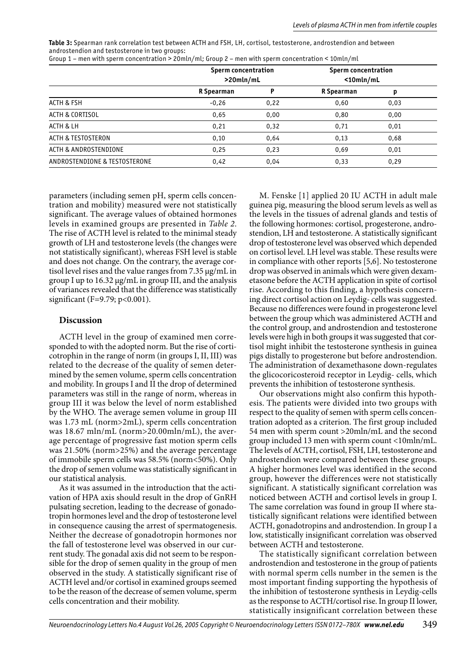**Table 3:** Spearman rank correlation test between ACTH and FSH, LH, cortisol, testosterone, androstendion and between androstendion and testosterone in two groups: Group 1 – men with sperm concentration > 20mln/ml; Group 2 – men with sperm concentration < 10mln/ml

|                               | <b>Sperm concentration</b><br>$>$ 20mln/mL |      | <b>Sperm concentration</b><br>$<$ 10mln/mL |      |
|-------------------------------|--------------------------------------------|------|--------------------------------------------|------|
|                               | R Spearman                                 |      | R Spearman                                 | p    |
| <b>ACTH &amp; FSH</b>         | $-0,26$                                    | 0,22 | 0,60                                       | 0,03 |
| ACTH & CORTISOL               | 0,65                                       | 0,00 | 0,80                                       | 0,00 |
| ACTH & LH                     | 0,21                                       | 0,32 | 0,71                                       | 0,01 |
| <b>ACTH &amp; TESTOSTERON</b> | 0,10                                       | 0.64 | 0,13                                       | 0,68 |
| ACTH & ANDROSTENDIONE         | 0,25                                       | 0,23 | 0,69                                       | 0,01 |
| ANDROSTENDIONE & TESTOSTERONE | 0,42                                       | 0.04 | 0,33                                       | 0,29 |

parameters (including semen pH, sperm cells concentration and mobility) measured were not statistically significant. The average values of obtained hormones levels in examined groups are presented in *Table 2*. The rise of ACTH level is related to the minimal steady growth of LH and testosterone levels (the changes were not statistically significant), whereas FSH level is stable and does not change. On the contrary, the average cortisol level rises and the value ranges from 7.35 µg/mL in group I up to 16.32 µg/mL in group III, and the analysis of variances revealed that the difference was statistically significant (F=9.79;  $p < 0.001$ ).

## **Discussion**

ACTH level in the group of examined men corresponded to with the adopted norm. But the rise of corticotrophin in the range of norm (in groups I, II, III) was related to the decrease of the quality of semen determined by the semen volume, sperm cells concentration and mobility. In groups I and II the drop of determined parameters was still in the range of norm, whereas in group III it was below the level of norm established by the WHO. The average semen volume in group III was 1.73 mL (norm>2mL), sperm cells concentration was 18.67 mln/mL (norm>20.00mln/mL), the average percentage of progressive fast motion sperm cells was 21.50% (norm>25%) and the average percentage of immobile sperm cells was 58.5% (norm<50%). Only the drop of semen volume was statistically significant in our statistical analysis.

As it was assumed in the introduction that the activation of HPA axis should result in the drop of GnRH pulsating secretion, leading to the decrease of gonadotropin hormones level and the drop of testosterone level in consequence causing the arrest of spermatogenesis. Neither the decrease of gonadotropin hormones nor the fall of testosterone level was observed in our current study. The gonadal axis did not seem to be responsible for the drop of semen quality in the group of men observed in the study. A statistically significant rise of ACTH level and/or cortisol in examined groups seemed to be the reason of the decrease of semen volume, sperm cells concentration and their mobility.

M. Fenske [1] applied 20 IU ACTH in adult male guinea pig, measuring the blood serum levels as well as the levels in the tissues of adrenal glands and testis of the following hormones: cortisol, progesterone, androstendion, LH and testosterone. A statistically significant drop of testosterone level was observed which depended on cortisol level. LH level was stable. These results were in compliance with other reports [5,6]. No testosterone drop was observed in animals which were given dexametasone before the ACTH application in spite of cortisol rise. According to this finding, a hypothesis concerning direct cortisol action on Leydig- cells was suggested. Because no differences were found in progesterone level between the group which was administered ACTH and the control group, and androstendion and testosterone levels were high in both groups it was suggested that cortisol might inhibit the testosterone synthesis in guinea pigs distally to progesterone but before androstendion. The administration of dexamethasone down-regulates the glicocoricosteroid receptor in Leydig- cells, which prevents the inhibition of testosterone synthesis.

Our observations might also confirm this hypothesis. The patients were divided into two groups with respect to the quality of semen with sperm cells concentration adopted as a criterion. The first group included 54 men with sperm count >20mln/mL and the second group included 13 men with sperm count <10mln/mL. The levels of ACTH, cortisol, FSH, LH, testosterone and androstendion were compared between these groups. A higher hormones level was identified in the second group, however the differences were not statistically significant. A statistically significant correlation was noticed between ACTH and cortisol levels in group I. The same correlation was found in group II where statistically significant relations were identified between ACTH, gonadotropins and androstendion. In group I a low, statistically insignificant correlation was observed between ACTH and testosterone.

The statistically significant correlation between androstendion and testosterone in the group of patients with normal sperm cells number in the semen is the most important finding supporting the hypothesis of the inhibition of testosterone synthesis in Leydig-cells as the response to ACTH/cortisol rise. In group II lower, statistically insignificant correlation between these